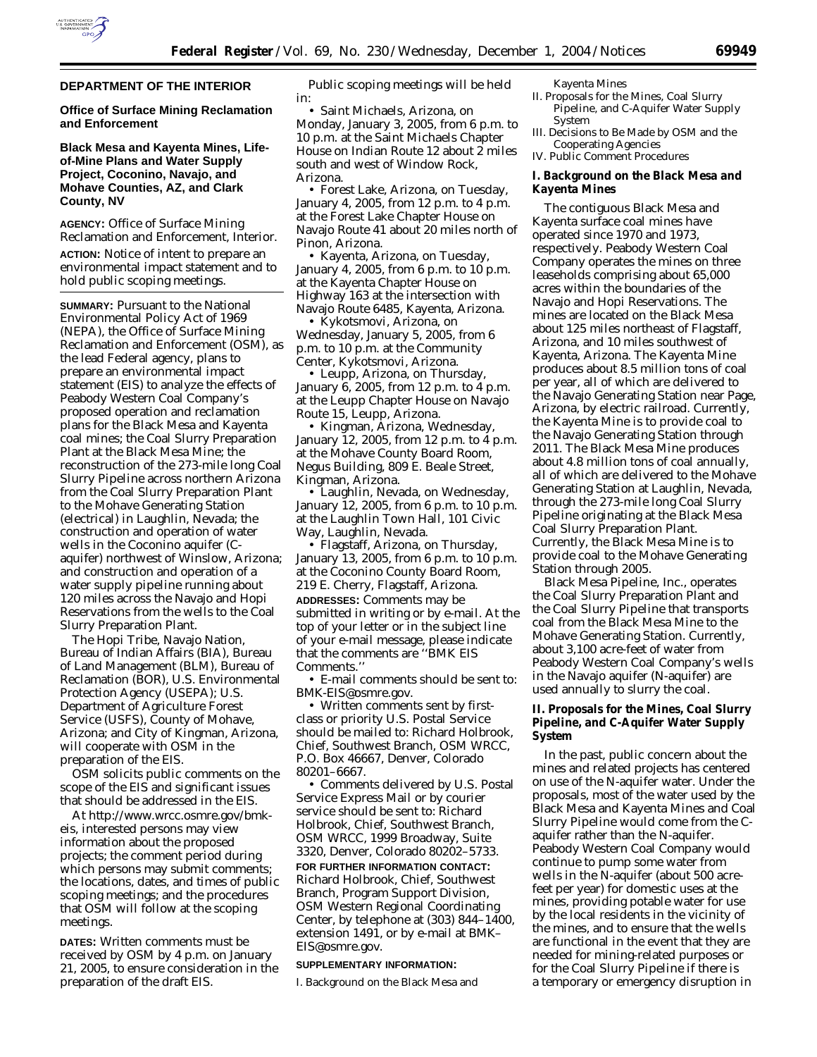

**Office of Surface Mining Reclamation and Enforcement** 

# **Black Mesa and Kayenta Mines, Lifeof-Mine Plans and Water Supply Project, Coconino, Navajo, and Mohave Counties, AZ, and Clark County, NV**

**AGENCY:** Office of Surface Mining Reclamation and Enforcement, Interior.

**ACTION:** Notice of intent to prepare an environmental impact statement and to hold public scoping meetings.

**SUMMARY:** Pursuant to the National Environmental Policy Act of 1969 (NEPA), the Office of Surface Mining Reclamation and Enforcement (OSM), as the lead Federal agency, plans to prepare an environmental impact statement (EIS) to analyze the effects of Peabody Western Coal Company's proposed operation and reclamation plans for the Black Mesa and Kayenta coal mines; the Coal Slurry Preparation Plant at the Black Mesa Mine; the reconstruction of the 273-mile long Coal Slurry Pipeline across northern Arizona from the Coal Slurry Preparation Plant to the Mohave Generating Station (electrical) in Laughlin, Nevada; the construction and operation of water wells in the Coconino aquifer (Caquifer) northwest of Winslow, Arizona; and construction and operation of a water supply pipeline running about 120 miles across the Navajo and Hopi Reservations from the wells to the Coal Slurry Preparation Plant.

The Hopi Tribe, Navajo Nation, Bureau of Indian Affairs (BIA), Bureau of Land Management (BLM), Bureau of Reclamation (BOR), U.S. Environmental Protection Agency (USEPA); U.S. Department of Agriculture Forest Service (USFS), County of Mohave, Arizona; and City of Kingman, Arizona, will cooperate with OSM in the preparation of the EIS.

OSM solicits public comments on the scope of the EIS and significant issues that should be addressed in the EIS.

At *http://www.wrcc.osmre.gov/bmkeis,* interested persons may view information about the proposed projects; the comment period during which persons may submit comments; the locations, dates, and times of public scoping meetings; and the procedures that OSM will follow at the scoping meetings.

**DATES:** Written comments must be received by OSM by 4 p.m. on January 21, 2005, to ensure consideration in the preparation of the draft EIS.

Public scoping meetings will be held in:

• Saint Michaels, Arizona, on Monday, January 3, 2005, from 6 p.m. to 10 p.m. at the Saint Michaels Chapter House on Indian Route 12 about 2 miles south and west of Window Rock, Arizona.

• Forest Lake, Arizona, on Tuesday, January 4, 2005, from 12 p.m. to 4 p.m. at the Forest Lake Chapter House on Navajo Route 41 about 20 miles north of Pinon, Arizona.

• Kayenta, Arizona, on Tuesday, January 4, 2005, from 6 p.m. to 10 p.m. at the Kayenta Chapter House on Highway 163 at the intersection with Navajo Route 6485, Kayenta, Arizona.

• Kykotsmovi, Arizona, on Wednesday, January 5, 2005, from 6 p.m. to 10 p.m. at the Community Center, Kykotsmovi, Arizona.

• Leupp, Arizona, on Thursday, January 6, 2005, from 12 p.m. to 4 p.m. at the Leupp Chapter House on Navajo Route 15, Leupp, Arizona.

• Kingman, Arizona, Wednesday, January 12, 2005, from 12 p.m. to 4 p.m. at the Mohave County Board Room, Negus Building, 809 E. Beale Street, Kingman, Arizona.

• Laughlin, Nevada, on Wednesday, January 12, 2005, from 6 p.m. to 10 p.m. at the Laughlin Town Hall, 101 Civic Way, Laughlin, Nevada.

• Flagstaff, Arizona, on Thursday, January 13, 2005, from 6 p.m. to 10 p.m. at the Coconino County Board Room, 219 E. Cherry, Flagstaff, Arizona. **ADDRESSES:** Comments may be submitted in writing or by e-mail. At the top of your letter or in the subject line of your e-mail message, please indicate that the comments are ''BMK EIS Comments.''

• E-mail comments should be sent to: *BMK-EIS@osmre.gov.*

• Written comments sent by firstclass or priority U.S. Postal Service should be mailed to: Richard Holbrook, Chief, Southwest Branch, OSM WRCC, P.O. Box 46667, Denver, Colorado 80201–6667.

• Comments delivered by U.S. Postal Service Express Mail or by courier service should be sent to: Richard Holbrook, Chief, Southwest Branch, OSM WRCC, 1999 Broadway, Suite 3320, Denver, Colorado 80202–5733. **FOR FURTHER INFORMATION CONTACT:** Richard Holbrook, Chief, Southwest Branch, Program Support Division, OSM Western Regional Coordinating Center, by telephone at (303) 844–1400, extension 1491, or by e-mail at *BMK– EIS@osmre.gov.*

#### **SUPPLEMENTARY INFORMATION:**

I. Background on the Black Mesa and

Kayenta Mines

- II. Proposals for the Mines, Coal Slurry Pipeline, and C-Aquifer Water Supply System
- III. Decisions to Be Made by OSM and the Cooperating Agencies
- IV. Public Comment Procedures

### **I. Background on the Black Mesa and Kayenta Mines**

The contiguous Black Mesa and Kayenta surface coal mines have operated since 1970 and 1973, respectively. Peabody Western Coal Company operates the mines on three leaseholds comprising about 65,000 acres within the boundaries of the Navajo and Hopi Reservations. The mines are located on the Black Mesa about 125 miles northeast of Flagstaff, Arizona, and 10 miles southwest of Kayenta, Arizona. The Kayenta Mine produces about 8.5 million tons of coal per year, all of which are delivered to the Navajo Generating Station near Page, Arizona, by electric railroad. Currently, the Kayenta Mine is to provide coal to the Navajo Generating Station through 2011. The Black Mesa Mine produces about 4.8 million tons of coal annually, all of which are delivered to the Mohave Generating Station at Laughlin, Nevada, through the 273-mile long Coal Slurry Pipeline originating at the Black Mesa Coal Slurry Preparation Plant. Currently, the Black Mesa Mine is to provide coal to the Mohave Generating Station through 2005.

Black Mesa Pipeline, Inc., operates the Coal Slurry Preparation Plant and the Coal Slurry Pipeline that transports coal from the Black Mesa Mine to the Mohave Generating Station. Currently, about 3,100 acre-feet of water from Peabody Western Coal Company's wells in the Navajo aquifer (N-aquifer) are used annually to slurry the coal.

# **II. Proposals for the Mines, Coal Slurry Pipeline, and C-Aquifer Water Supply System**

In the past, public concern about the mines and related projects has centered on use of the N-aquifer water. Under the proposals, most of the water used by the Black Mesa and Kayenta Mines and Coal Slurry Pipeline would come from the Caquifer rather than the N-aquifer. Peabody Western Coal Company would continue to pump some water from wells in the N-aquifer (about 500 acrefeet per year) for domestic uses at the mines, providing potable water for use by the local residents in the vicinity of the mines, and to ensure that the wells are functional in the event that they are needed for mining-related purposes or for the Coal Slurry Pipeline if there is a temporary or emergency disruption in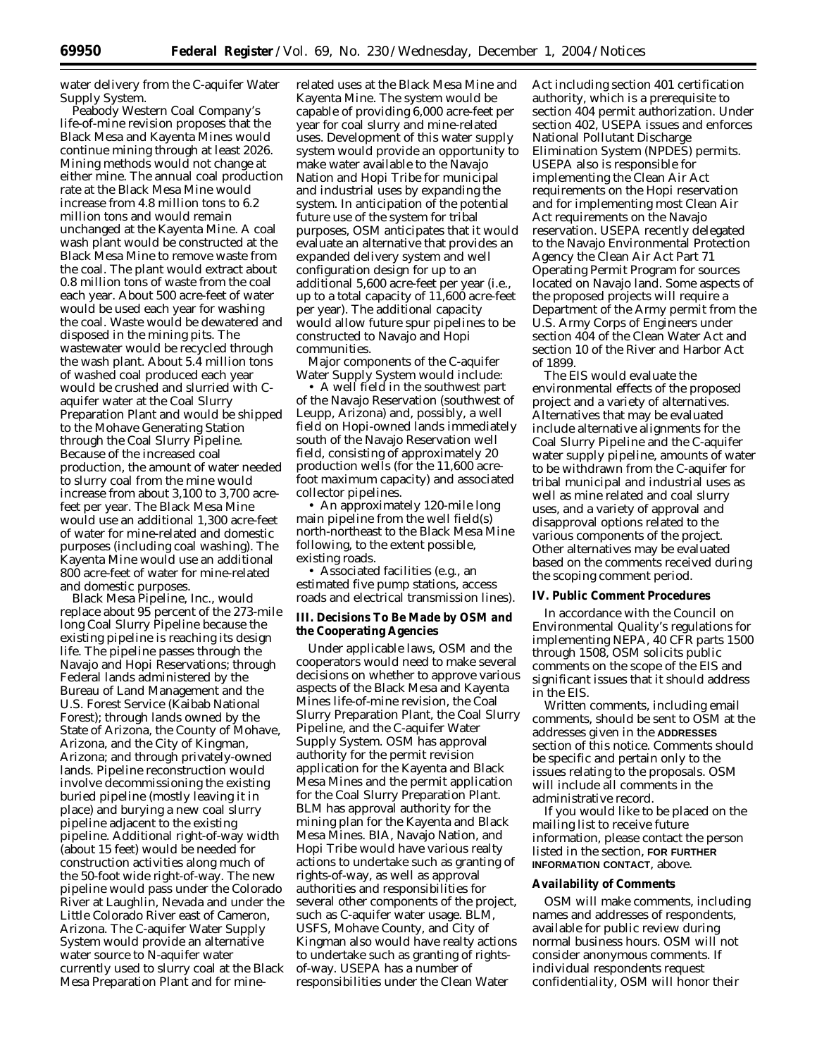water delivery from the C-aquifer Water Supply System.

Peabody Western Coal Company's life-of-mine revision proposes that the Black Mesa and Kayenta Mines would continue mining through at least 2026. Mining methods would not change at either mine. The annual coal production rate at the Black Mesa Mine would increase from 4.8 million tons to 6.2 million tons and would remain unchanged at the Kayenta Mine. A coal wash plant would be constructed at the Black Mesa Mine to remove waste from the coal. The plant would extract about 0.8 million tons of waste from the coal each year. About 500 acre-feet of water would be used each year for washing the coal. Waste would be dewatered and disposed in the mining pits. The wastewater would be recycled through the wash plant. About 5.4 million tons of washed coal produced each year would be crushed and slurried with Caquifer water at the Coal Slurry Preparation Plant and would be shipped to the Mohave Generating Station through the Coal Slurry Pipeline. Because of the increased coal production, the amount of water needed to slurry coal from the mine would increase from about 3,100 to 3,700 acrefeet per year. The Black Mesa Mine would use an additional 1,300 acre-feet of water for mine-related and domestic purposes (including coal washing). The Kayenta Mine would use an additional 800 acre-feet of water for mine-related and domestic purposes.

Black Mesa Pipeline, Inc., would replace about 95 percent of the 273-mile long Coal Slurry Pipeline because the existing pipeline is reaching its design life. The pipeline passes through the Navajo and Hopi Reservations; through Federal lands administered by the Bureau of Land Management and the U.S. Forest Service (Kaibab National Forest); through lands owned by the State of Arizona, the County of Mohave, Arizona, and the City of Kingman, Arizona; and through privately-owned lands. Pipeline reconstruction would involve decommissioning the existing buried pipeline (mostly leaving it in place) and burying a new coal slurry pipeline adjacent to the existing pipeline. Additional right-of-way width (about 15 feet) would be needed for construction activities along much of the 50-foot wide right-of-way. The new pipeline would pass under the Colorado River at Laughlin, Nevada and under the Little Colorado River east of Cameron, Arizona. The C-aquifer Water Supply System would provide an alternative water source to N-aquifer water currently used to slurry coal at the Black Mesa Preparation Plant and for mine-

related uses at the Black Mesa Mine and Kayenta Mine. The system would be capable of providing 6,000 acre-feet per year for coal slurry and mine-related uses. Development of this water supply system would provide an opportunity to make water available to the Navajo Nation and Hopi Tribe for municipal and industrial uses by expanding the system. In anticipation of the potential future use of the system for tribal purposes, OSM anticipates that it would evaluate an alternative that provides an expanded delivery system and well configuration design for up to an additional 5,600 acre-feet per year (*i.e.,* up to a total capacity of 11,600 acre-feet per year). The additional capacity would allow future spur pipelines to be constructed to Navajo and Hopi communities.

Major components of the C-aquifer Water Supply System would include:

• A well field in the southwest part of the Navajo Reservation (southwest of Leupp, Arizona) and, possibly, a well field on Hopi-owned lands immediately south of the Navajo Reservation well field, consisting of approximately 20 production wells (for the 11,600 acrefoot maximum capacity) and associated collector pipelines.

• An approximately 120-mile long main pipeline from the well field(s) north-northeast to the Black Mesa Mine following, to the extent possible, existing roads.

• Associated facilities (*e.g.*, an estimated five pump stations, access roads and electrical transmission lines).

### **III. Decisions To Be Made by OSM and the Cooperating Agencies**

Under applicable laws, OSM and the cooperators would need to make several decisions on whether to approve various aspects of the Black Mesa and Kayenta Mines life-of-mine revision, the Coal Slurry Preparation Plant, the Coal Slurry Pipeline, and the C-aquifer Water Supply System. OSM has approval authority for the permit revision application for the Kayenta and Black Mesa Mines and the permit application for the Coal Slurry Preparation Plant. BLM has approval authority for the mining plan for the Kayenta and Black Mesa Mines. BIA, Navajo Nation, and Hopi Tribe would have various realty actions to undertake such as granting of rights-of-way, as well as approval authorities and responsibilities for several other components of the project, such as C-aquifer water usage. BLM, USFS, Mohave County, and City of Kingman also would have realty actions to undertake such as granting of rightsof-way. USEPA has a number of responsibilities under the Clean Water

Act including section 401 certification authority, which is a prerequisite to section 404 permit authorization. Under section 402, USEPA issues and enforces National Pollutant Discharge Elimination System (NPDES) permits. USEPA also is responsible for implementing the Clean Air Act requirements on the Hopi reservation and for implementing most Clean Air Act requirements on the Navajo reservation. USEPA recently delegated to the Navajo Environmental Protection Agency the Clean Air Act Part 71 Operating Permit Program for sources located on Navajo land. Some aspects of the proposed projects will require a Department of the Army permit from the U.S. Army Corps of Engineers under section 404 of the Clean Water Act and section 10 of the River and Harbor Act of 1899.

The EIS would evaluate the environmental effects of the proposed project and a variety of alternatives. Alternatives that may be evaluated include alternative alignments for the Coal Slurry Pipeline and the C-aquifer water supply pipeline, amounts of water to be withdrawn from the C-aquifer for tribal municipal and industrial uses as well as mine related and coal slurry uses, and a variety of approval and disapproval options related to the various components of the project. Other alternatives may be evaluated based on the comments received during the scoping comment period.

### **IV. Public Comment Procedures**

In accordance with the Council on Environmental Quality's regulations for implementing NEPA, 40 CFR parts 1500 through 1508, OSM solicits public comments on the scope of the EIS and significant issues that it should address in the EIS.

Written comments, including email comments, should be sent to OSM at the addresses given in the **ADDRESSES** section of this notice. Comments should be specific and pertain only to the issues relating to the proposals. OSM will include all comments in the administrative record.

If you would like to be placed on the mailing list to receive future information, please contact the person listed in the section, **FOR FURTHER INFORMATION CONTACT**, above.

# **Availability of Comments**

OSM will make comments, including names and addresses of respondents, available for public review during normal business hours. OSM will not consider anonymous comments. If individual respondents request confidentiality, OSM will honor their